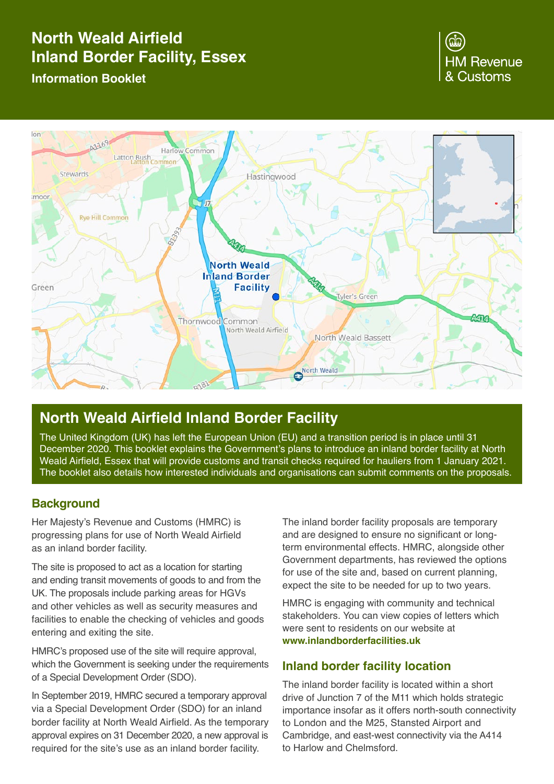# **North Weald Airfield Inland Border Facility, Essex Information Booklet**

# **HM Revenue** & Customs



# **North Weald Airfield Inland Border Facility**

The United Kingdom (UK) has left the European Union (EU) and a transition period is in place until 31 December 2020. This booklet explains the Government's plans to introduce an inland border facility at North Weald Airfield, Essex that will provide customs and transit checks required for hauliers from 1 January 2021. The booklet also details how interested individuals and organisations can submit comments on the proposals.

# **Background**

Her Majesty's Revenue and Customs (HMRC) is progressing plans for use of North Weald Airfield as an inland border facility.

The site is proposed to act as a location for starting and ending transit movements of goods to and from the UK. The proposals include parking areas for HGVs and other vehicles as well as security measures and facilities to enable the checking of vehicles and goods entering and exiting the site.

HMRC's proposed use of the site will require approval. which the Government is seeking under the requirements of a Special Development Order (SDO).

In September 2019, HMRC secured a temporary approval via a Special Development Order (SDO) for an inland border facility at North Weald Airfield. As the temporary approval expires on 31 December 2020, a new approval is required for the site's use as an inland border facility.

The inland border facility proposals are temporary and are designed to ensure no significant or longterm environmental effects. HMRC, alongside other Government departments, has reviewed the options for use of the site and, based on current planning, expect the site to be needed for up to two years.

HMRC is engaging with community and technical stakeholders. You can view copies of letters which were sent to residents on our website at **[www.inlandborderfacilities.uk](http://www.inlandborderfacilities.uk)**

# **Inland border facility location**

The inland border facility is located within a short drive of Junction 7 of the M11 which holds strategic importance insofar as it offers north-south connectivity to London and the M25, Stansted Airport and Cambridge, and east-west connectivity via the A414 to Harlow and Chelmsford.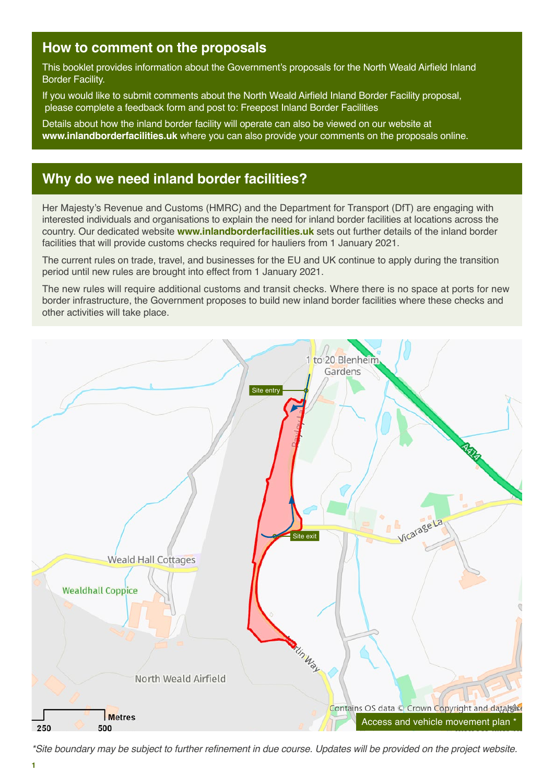# **How to comment on the proposals**

This booklet provides information about the Government's proposals for the North Weald Airfield Inland Border Facility.

If you would like to submit comments about the North Weald Airfield Inland Border Facility proposal, please complete a feedback form and post to: Freepost Inland Border Facilities

Details about how the inland border facility will operate can also be viewed on our website at **[www.inlandborderfacilities.uk](http://www.inlandborderfacilities.uk)** where you can also provide your comments on the proposals online.

# **Why do we need inland border facilities?**

Her Majesty's Revenue and Customs (HMRC) and the Department for Transport (DfT) are engaging with interested individuals and organisations to explain the need for inland border facilities at locations across the country. Our dedicated website **[www.inlandborderfacilities.uk](http://www.inlandborderfacilities.uk)** sets out further details of the inland border facilities that will provide customs checks required for hauliers from 1 January 2021.

The current rules on trade, travel, and businesses for the EU and UK continue to apply during the transition period until new rules are brought into effect from 1 January 2021.

The new rules will require additional customs and transit checks. Where there is no space at ports for new border infrastructure, the Government proposes to build new inland border facilities where these checks and other activities will take place.



*\*Site boundary may be subject to further refinement in due course. Updates will be provided on the project website.*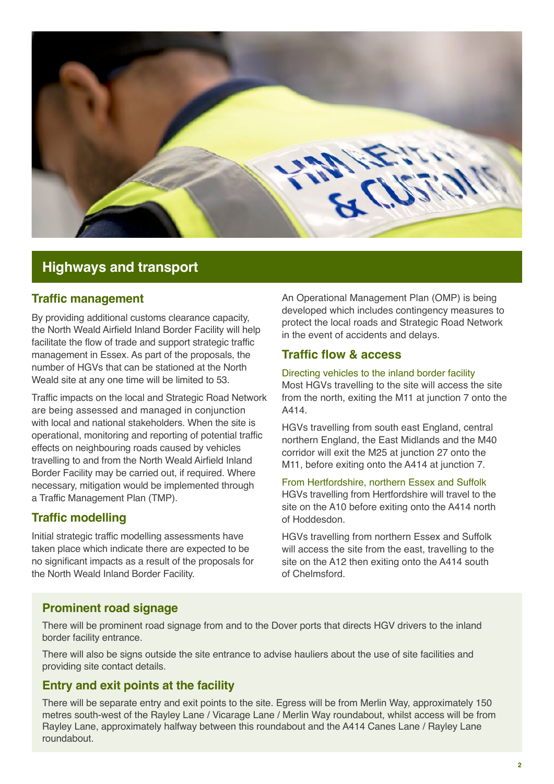

# **Highways and transport**

### **Traffic management**

By providing additional customs clearance capacity, the North Weald Airfield Inland Border Facility will help facilitate the flow of trade and support strategic traffic management in Essex. As part of the proposals, the number of HGVs that can be stationed at the North Weald site at any one time will be limited to 53.

Traffic impacts on the local and Strategic Road Network are being assessed and managed in conjunction with local and national stakeholders. When the site is operational, monitoring and reporting of potential traffic effects on neighbouring roads caused by vehicles travelling to and from the North Weald Airfield Inland Border Facility may be carried out, if required. Where necessary, mitigation would be implemented through a Traffic Management Plan (TMP).

## **Traffic modelling**

Initial strategic traffic modelling assessments have taken place which indicate there are expected to be no significant impacts as a result of the proposals for the North Weald Inland Border Facility.

An Operational Management Plan (OMP) is being developed which includes contingency measures to protect the local roads and Strategic Road Network in the event of accidents and delays.

### **Traffic flow & access**

#### Directing vehicles to the inland border facility

Most HGVs travelling to the site will access the site from the north, exiting the M11 at junction 7 onto the A414.

HGVs travelling from south east England, central northern England, the East Midlands and the M40 corridor will exit the M25 at junction 27 onto the M11, before exiting onto the A414 at junction 7.

#### From Hertfordshire, northern Essex and Suffolk

HGVs travelling from Hertfordshire will travel to the site on the A10 before exiting onto the A414 north of Hoddesdon.

HGVs travelling from northern Essex and Suffolk will access the site from the east, travelling to the site on the A12 then exiting onto the A414 south of Chelmsford.

# **Prominent road signage**

There will be prominent road signage from and to the Dover ports that directs HGV drivers to the inland border facility entrance.

There will also be signs outside the site entrance to advise hauliers about the use of site facilities and providing site contact details.

# **Entry and exit points at the facility**

There will be separate entry and exit points to the site. Egress will be from Merlin Way, approximately 150 metres south-west of the Rayley Lane / Vicarage Lane / Merlin Way roundabout, whilst access will be from Rayley Lane, approximately halfway between this roundabout and the A414 Canes Lane / Rayley Lane roundabout.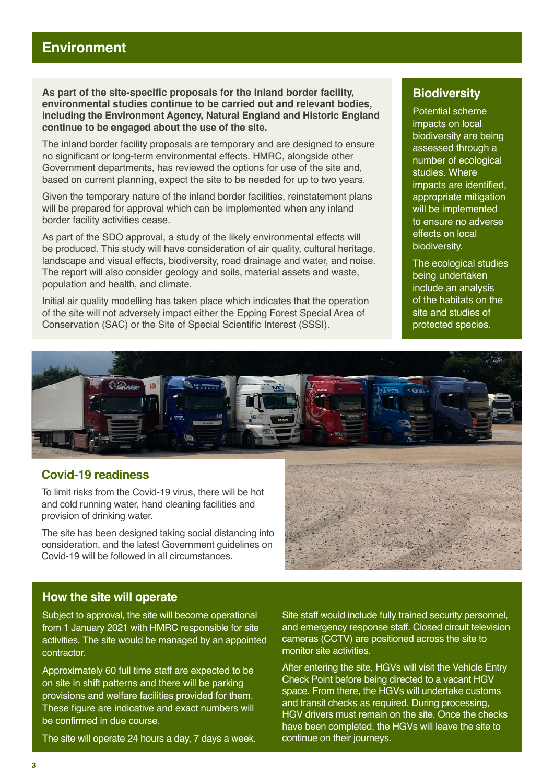**As part of the site-specific proposals for the inland border facility, environmental studies continue to be carried out and relevant bodies, including the Environment Agency, Natural England and Historic England continue to be engaged about the use of the site.**

The inland border facility proposals are temporary and are designed to ensure no significant or long-term environmental effects. HMRC, alongside other Government departments, has reviewed the options for use of the site and, based on current planning, expect the site to be needed for up to two years.

Given the temporary nature of the inland border facilities, reinstatement plans will be prepared for approval which can be implemented when any inland border facility activities cease.

As part of the SDO approval, a study of the likely environmental effects will be produced. This study will have consideration of air quality, cultural heritage, landscape and visual effects, biodiversity, road drainage and water, and noise. The report will also consider geology and soils, material assets and waste, population and health, and climate.

Initial air quality modelling has taken place which indicates that the operation of the site will not adversely impact either the Epping Forest Special Area of Conservation (SAC) or the Site of Special Scientific Interest (SSSI).

# **Biodiversity**

Potential scheme impacts on local biodiversity are being assessed through a number of ecological studies. Where impacts are identified, appropriate mitigation will be implemented to ensure no adverse effects on local biodiversity.

The ecological studies being undertaken include an analysis of the habitats on the site and studies of protected species.



### **Covid-19 readiness**

To limit risks from the Covid-19 virus, there will be hot and cold running water, hand cleaning facilities and provision of drinking water.

The site has been designed taking social distancing into consideration, and the latest Government guidelines on Covid-19 will be followed in all circumstances.



### **How the site will operate**

Subject to approval, the site will become operational from 1 January 2021 with HMRC responsible for site activities. The site would be managed by an appointed contractor.

Approximately 60 full time staff are expected to be on site in shift patterns and there will be parking provisions and welfare facilities provided for them. These figure are indicative and exact numbers will be confirmed in due course.

The site will operate 24 hours a day, 7 days a week.

Site staff would include fully trained security personnel, and emergency response staff. Closed circuit television cameras (CCTV) are positioned across the site to monitor site activities.

After entering the site, HGVs will visit the Vehicle Entry Check Point before being directed to a vacant HGV space. From there, the HGVs will undertake customs and transit checks as required. During processing, HGV drivers must remain on the site. Once the checks have been completed, the HGVs will leave the site to continue on their journeys.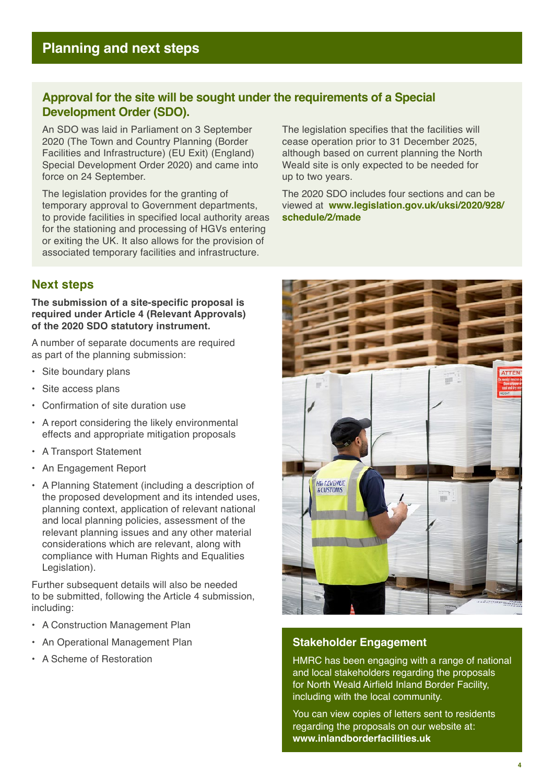# **Approval for the site will be sought under the requirements of a Special Development Order (SDO).**

An SDO was laid in Parliament on 3 September 2020 (The Town and Country Planning (Border Facilities and Infrastructure) (EU Exit) (England) Special Development Order 2020) and came into force on 24 September.

The legislation provides for the granting of temporary approval to Government departments, to provide facilities in specified local authority areas for the stationing and processing of HGVs entering or exiting the UK. It also allows for the provision of associated temporary facilities and infrastructure.

The legislation specifies that the facilities will cease operation prior to 31 December 2025, although based on current planning the North Weald site is only expected to be needed for up to two years.

The 2020 SDO includes four sections and can be viewed at **[www.legislation.gov.uk/uksi/2020/928/](http://www.legislation.gov.uk/uksi/2020/928/schedule/2/made) [schedule/2/made](http://www.legislation.gov.uk/uksi/2020/928/schedule/2/made)** 

# **Next steps**

#### **The submission of a site-specific proposal is required under Article 4 (Relevant Approvals) of the 2020 SDO statutory instrument.**

A number of separate documents are required as part of the planning submission:

- Site boundary plans
- Site access plans
- Confirmation of site duration use
- A report considering the likely environmental effects and appropriate mitigation proposals
- A Transport Statement
- An Engagement Report
- A Planning Statement (including a description of the proposed development and its intended uses, planning context, application of relevant national and local planning policies, assessment of the relevant planning issues and any other material considerations which are relevant, along with compliance with Human Rights and Equalities Legislation).

Further subsequent details will also be needed to be submitted, following the Article 4 submission, including:

- A Construction Management Plan
- An Operational Management Plan
- A Scheme of Restoration



#### **Stakeholder Engagement**

HMRC has been engaging with a range of national and local stakeholders regarding the proposals for North Weald Airfield Inland Border Facility, including with the local community.

You can view copies of letters sent to residents regarding the proposals on our website at: **[www.inlandborderfacilities.uk](http://www.inlandborderfacilities.uk)**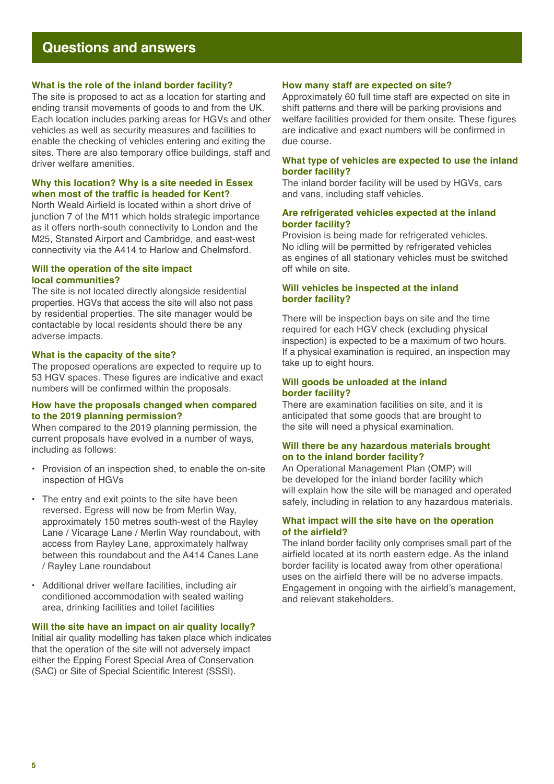# **Questions and answers**

#### **What is the role of the inland border facility?**

The site is proposed to act as a location for starting and ending transit movements of goods to and from the UK. Each location includes parking areas for HGVs and other vehicles as well as security measures and facilities to enable the checking of vehicles entering and exiting the sites. There are also temporary office buildings, staff and driver welfare amenities.

#### **Why this location? Why is a site needed in Essex when most of the traffic is headed for Kent?**

North Weald Airfield is located within a short drive of junction 7 of the M11 which holds strategic importance as it offers north-south connectivity to London and the M25, Stansted Airport and Cambridge, and east-west connectivity via the A414 to Harlow and Chelmsford.

#### **Will the operation of the site impact local communities?**

The site is not located directly alongside residential properties. HGVs that access the site will also not pass by residential properties. The site manager would be contactable by local residents should there be any adverse impacts.

#### **What is the capacity of the site?**

The proposed operations are expected to require up to 53 HGV spaces. These figures are indicative and exact numbers will be confirmed within the proposals.

#### **How have the proposals changed when compared to the 2019 planning permission?**

When compared to the 2019 planning permission, the current proposals have evolved in a number of ways, including as follows:

- Provision of an inspection shed, to enable the on-site inspection of HGVs
- The entry and exit points to the site have been reversed. Egress will now be from Merlin Way, approximately 150 metres south-west of the Rayley Lane / Vicarage Lane / Merlin Way roundabout, with access from Rayley Lane, approximately halfway between this roundabout and the A414 Canes Lane / Rayley Lane roundabout
- Additional driver welfare facilities, including air conditioned accommodation with seated waiting area, drinking facilities and toilet facilities

#### **Will the site have an impact on air quality locally?**

Initial air quality modelling has taken place which indicates that the operation of the site will not adversely impact either the Epping Forest Special Area of Conservation (SAC) or Site of Special Scientific Interest (SSSI).

#### **How many staff are expected on site?**

Approximately 60 full time staff are expected on site in shift patterns and there will be parking provisions and welfare facilities provided for them onsite. These figures are indicative and exact numbers will be confirmed in due course.

#### **What type of vehicles are expected to use the inland border facility?**

The inland border facility will be used by HGVs, cars and vans, including staff vehicles.

#### **Are refrigerated vehicles expected at the inland border facility?**

Provision is being made for refrigerated vehicles. No idling will be permitted by refrigerated vehicles as engines of all stationary vehicles must be switched off while on site.

#### **Will vehicles be inspected at the inland border facility?**

There will be inspection bays on site and the time required for each HGV check (excluding physical inspection) is expected to be a maximum of two hours. If a physical examination is required, an inspection may take up to eight hours.

#### **Will goods be unloaded at the inland border facility?**

There are examination facilities on site, and it is anticipated that some goods that are brought to the site will need a physical examination.

#### **Will there be any hazardous materials brought on to the inland border facility?**

An Operational Management Plan (OMP) will be developed for the inland border facility which will explain how the site will be managed and operated safely, including in relation to any hazardous materials.

#### **What impact will the site have on the operation of the airfield?**

The inland border facility only comprises small part of the airfield located at its north eastern edge. As the inland border facility is located away from other operational uses on the airfield there will be no adverse impacts. Engagement in ongoing with the airfield's management, and relevant stakeholders.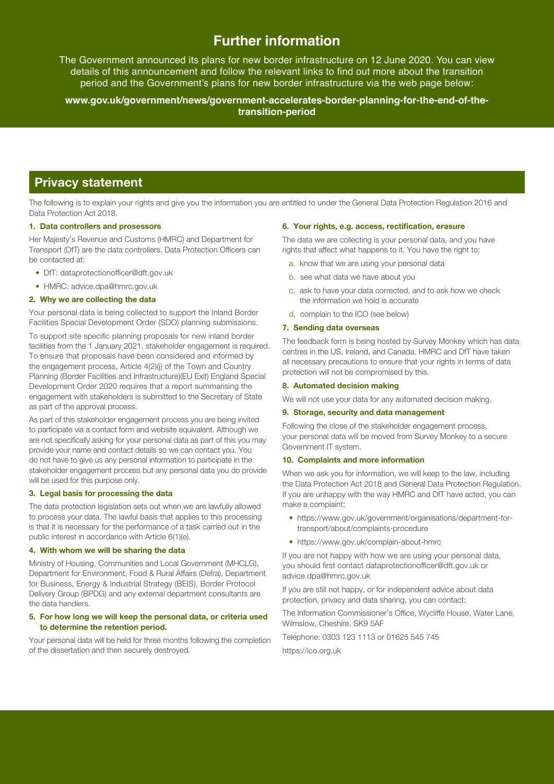# **Further information**

The Government announced its plans for new border infrastructure on 12 June 2020. You can view details of this announcement and follow the relevant links to find out more about the transition period and the Government's plans for new border infrastructure via the web page below:

**[www.gov.uk/government/news/government-accelerates-border-planning-for-the-end-of-the](http://www.gov.uk/government/news/government-accelerates-border-planning-for-the-end-of-the-transition-period)[transition-period](http://www.gov.uk/government/news/government-accelerates-border-planning-for-the-end-of-the-transition-period)** 

# **Privacy statement**

The following is to explain your rights and give you the information you are entitled to under the General Data Protection Regulation 2016 and Data Protection Act 2018.

#### **1. Data controllers and prosessors**

Her Majesty's Revenue and Customs (HMRC) and Department for Transport (DfT) are the data controllers. Data Protection Officers can be contacted at:

- DfT: dataprotectionofficer@dft.gov.uk
- HMRC: advice.dpa@hmrc.gov.uk

#### **2. Why we are collecting the data**

Your personal data is being collected to support the Inland Border Facilities Special Development Order (SDO) planning submissions.

To support site specific planning proposals for new inland border facilities from the 1 January 2021, stakeholder engagement is required. To ensure that proposals have been considered and informed by the engagement process, Article 4(2)(j) of the Town and Country Planning (Border Facilities and Infrastructure)(EU Exit) England Special Development Order 2020 requires that a report summarising the engagement with stakeholders is submitted to the Secretary of State as part of the approval process.

As part of this stakeholder engagement process you are being invited to participate via a contact form and website equivalent. Although we are not specifically asking for your personal data as part of this you may provide your name and contact details so we can contact you. You do not have to give us any personal information to participate in the stakeholder engagement process but any personal data you do provide will be used for this purpose only.

#### **3. Legal basis for processing the data**

The data protection legislation sets out when we are lawfully allowed to process your data. The lawful basis that applies to this processing is that it is necessary for the performance of a task carried out in the public interest in accordance with Article 6(1)(e).

#### **4. With whom we will be sharing the data**

Ministry of Housing, Communities and Local Government (MHCLG), Department for Environment, Food & Rural Affairs (Defra), Department for Business, Energy & Industrial Strategy (BEIS), Border Protocol Delivery Group (BPDG) and any external department consultants are the data handlers.

#### **5. For how long we will keep the personal data, or criteria used to determine the retention period.**

Your personal data will be held for three months following the completion of the dissertation and then securely destroyed.

#### **6. Your rights, e.g. access, rectification, erasure**

The data we are collecting is your personal data, and you have rights that affect what happens to it. You have the right to:

- a. know that we are using your personal data
- b. see what data we have about you
- c. ask to have your data corrected, and to ask how we check the information we hold is accurate
- d. complain to the ICO (see below)

#### **7. Sending data overseas**

The feedback form is being hosted by Survey Monkey which has data centres in the US, Ireland, and Canada. HMRC and DfT have taken all necessary precautions to ensure that your rights in terms of data protection will not be compromised by this.

#### **8. Automated decision making**

We will not use your data for any automated decision making.

#### **9. Storage, security and data management**

Following the close of the stakeholder engagement process, your personal data will be moved from Survey Monkey to a secure Government IT system.

#### **10. Complaints and more information**

When we ask you for information, we will keep to the law, including the Data Protection Act 2018 and General Data Protection Regulation. If you are unhappy with the way HMRC and DfT have acted, you can make a complaint:

- https://www.gov.uk/government/organisations/department-fortransport/about/complaints-procedure
- https://www.gov.uk/complain-about-hmrc

If you are not happy with how we are using your personal data, you should first contact dataprotectionofficer@dft.gov.uk or advice.dpa@hmrc.gov.uk

If you are still not happy, or for independent advice about data protection, privacy and data sharing, you can contact:

The Information Commissioner's Office, Wycliffe House, Water Lane, Wilmslow, Cheshire. SK9 5AF

Telephone: 0303 123 1113 or 01625 545 745 https://ico.org.uk